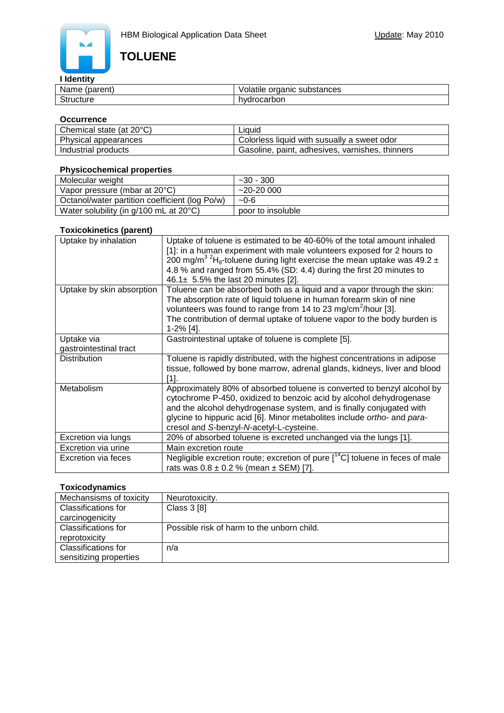# **TOLUENE**

#### **I Identity**

| SOROR<br>Na.<br>voarent.<br>пе | - - -<br>$\sim$ $\sim$<br>$\sim$<br>substances<br>വല<br>л<br>oraule/<br>$\sim$<br>∼<br>. . |
|--------------------------------|--------------------------------------------------------------------------------------------|
| $\sim$<br>.                    | $-$<br>hvo<br>$\cdot$ $\cdot$<br>OOL                                                       |

#### **Occurrence**

| Chemical state (at 20°C) | Liauid                                          |
|--------------------------|-------------------------------------------------|
| Physical appearances     | Colorless liquid with susually a sweet odor     |
| Industrial products      | Gasoline, paint, adhesives, varnishes, thinners |

#### **Physicochemical properties**

| Molecular weight                                   | $~1 - 30 - 300$   |
|----------------------------------------------------|-------------------|
| Vapor pressure (mbar at 20°C)                      | $~20 - 2000$      |
| Octanol/water partition coefficient (log Po/w)     | $-0-6$            |
| Water solubility (in $g/100$ mL at $20^{\circ}$ C) | poor to insoluble |

#### **Toxicokinetics (parent)**

| Uptake by inhalation                 | Uptake of toluene is estimated to be 40-60% of the total amount inhaled<br>[1]: in a human experiment with male volunteers exposed for 2 hours to<br>200 mg/m <sup>3 2</sup> H <sub>8</sub> -toluene during light exercise the mean uptake was 49.2 $\pm$<br>4.8 % and ranged from 55.4% (SD: 4.4) during the first 20 minutes to<br>46.1 $\pm$ 5.5% the last 20 minutes [2]. |
|--------------------------------------|-------------------------------------------------------------------------------------------------------------------------------------------------------------------------------------------------------------------------------------------------------------------------------------------------------------------------------------------------------------------------------|
| Uptake by skin absorption            | Toluene can be absorbed both as a liquid and a vapor through the skin:<br>The absorption rate of liquid toluene in human forearm skin of nine<br>volunteers was found to range from 14 to 23 mg/cm <sup>2</sup> /hour [3].<br>The contribution of dermal uptake of toluene vapor to the body burden is<br>1-2% [4].                                                           |
| Uptake via<br>gastrointestinal tract | Gastrointestinal uptake of toluene is complete [5].                                                                                                                                                                                                                                                                                                                           |
| <b>Distribution</b>                  | Toluene is rapidly distributed, with the highest concentrations in adipose<br>tissue, followed by bone marrow, adrenal glands, kidneys, liver and blood<br>[1].                                                                                                                                                                                                               |
| Metabolism                           | Approximately 80% of absorbed toluene is converted to benzyl alcohol by<br>cytochrome P-450, oxidized to benzoic acid by alcohol dehydrogenase<br>and the alcohol dehydrogenase system, and is finally conjugated with<br>glycine to hippuric acid [6]. Minor metabolites include ortho- and para-<br>cresol and S-benzyl-N-acetyl-L-cysteine.                                |
| Excretion via lungs                  | 20% of absorbed toluene is excreted unchanged via the lungs [1].                                                                                                                                                                                                                                                                                                              |
| Excretion via urine                  | Main excretion route                                                                                                                                                                                                                                                                                                                                                          |
| Excretion via feces                  | Negligible excretion route; excretion of pure $[$ <sup>14</sup> C] toluene in feces of male<br>rats was $0.8 \pm 0.2$ % (mean $\pm$ SEM) [7].                                                                                                                                                                                                                                 |

# **Toxicodynamics**

| Mechansisms of toxicity | Neurotoxicity.                             |
|-------------------------|--------------------------------------------|
| Classifications for     | Class 3 [8]                                |
| carcinogenicity         |                                            |
| Classifications for     | Possible risk of harm to the unborn child. |
| reprotoxicity           |                                            |
| Classifications for     | n/a                                        |
| sensitizing properties  |                                            |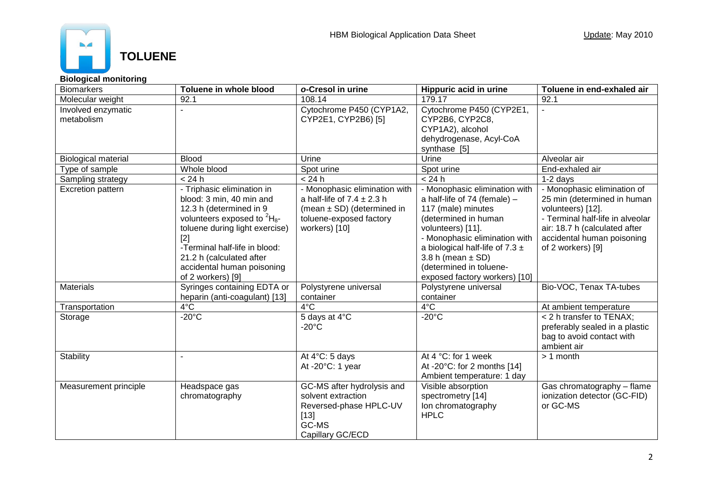

## **Biological monitoring**

| <b>Biomarkers</b>                | Toluene in whole blood                                                                                                                                                                                                                                                                | o-Cresol in urine                                                                                                                             | Hippuric acid in urine                                                                                                                                                                                                                                                                        | Toluene in end-exhaled air                                                                                                                                                                              |
|----------------------------------|---------------------------------------------------------------------------------------------------------------------------------------------------------------------------------------------------------------------------------------------------------------------------------------|-----------------------------------------------------------------------------------------------------------------------------------------------|-----------------------------------------------------------------------------------------------------------------------------------------------------------------------------------------------------------------------------------------------------------------------------------------------|---------------------------------------------------------------------------------------------------------------------------------------------------------------------------------------------------------|
| Molecular weight                 | 92.1                                                                                                                                                                                                                                                                                  | 108.14                                                                                                                                        | 179.17                                                                                                                                                                                                                                                                                        | 92.1                                                                                                                                                                                                    |
| Involved enzymatic<br>metabolism |                                                                                                                                                                                                                                                                                       | Cytochrome P450 (CYP1A2,<br>CYP2E1, CYP2B6) [5]                                                                                               | Cytochrome P450 (CYP2E1,<br>CYP2B6, CYP2C8,<br>CYP1A2), alcohol<br>dehydrogenase, Acyl-CoA<br>synthase [5]                                                                                                                                                                                    |                                                                                                                                                                                                         |
| <b>Biological material</b>       | <b>Blood</b>                                                                                                                                                                                                                                                                          | Urine                                                                                                                                         | <b>Urine</b>                                                                                                                                                                                                                                                                                  | Alveolar air                                                                                                                                                                                            |
| Type of sample                   | Whole blood                                                                                                                                                                                                                                                                           | Spot urine                                                                                                                                    | Spot urine                                                                                                                                                                                                                                                                                    | End-exhaled air                                                                                                                                                                                         |
| Sampling strategy                | < 24 h                                                                                                                                                                                                                                                                                | < 24 h                                                                                                                                        | < 24 h                                                                                                                                                                                                                                                                                        | 1-2 days                                                                                                                                                                                                |
| Excretion pattern                | - Triphasic elimination in<br>blood: 3 min, 40 min and<br>12.3 h (determined in 9<br>volunteers exposed to ${}^{2}H_{8}$ -<br>toluene during light exercise)<br>$[2]$<br>-Terminal half-life in blood:<br>21.2 h (calculated after<br>accidental human poisoning<br>of 2 workers) [9] | - Monophasic elimination with<br>a half-life of $7.4 \pm 2.3$ h<br>(mean $\pm$ SD) (determined in<br>toluene-exposed factory<br>workers) [10] | - Monophasic elimination with<br>a half-life of 74 (female) -<br>117 (male) minutes<br>(determined in human<br>volunteers) [11].<br>- Monophasic elimination with<br>a biological half-life of 7.3 $\pm$<br>3.8 h (mean $\pm$ SD)<br>(determined in toluene-<br>exposed factory workers) [10] | - Monophasic elimination of<br>25 min (determined in human<br>volunteers) [12].<br>- Terminal half-life in alveolar<br>air: 18.7 h (calculated after<br>accidental human poisoning<br>of 2 workers) [9] |
| <b>Materials</b>                 | Syringes containing EDTA or<br>heparin (anti-coagulant) [13]                                                                                                                                                                                                                          | Polystyrene universal<br>container                                                                                                            | Polystyrene universal<br>container                                                                                                                                                                                                                                                            | Bio-VOC, Tenax TA-tubes                                                                                                                                                                                 |
| Transportation                   | $4^{\circ}$ C                                                                                                                                                                                                                                                                         | $4^{\circ}$ C                                                                                                                                 | $4^{\circ}$ C                                                                                                                                                                                                                                                                                 | At ambient temperature                                                                                                                                                                                  |
| Storage                          | $-20^{\circ}$ C                                                                                                                                                                                                                                                                       | 5 days at 4°C<br>$-20^{\circ}$ C                                                                                                              | $-20^{\circ}$ C                                                                                                                                                                                                                                                                               | < 2 h transfer to TENAX;<br>preferably sealed in a plastic<br>bag to avoid contact with<br>ambient air                                                                                                  |
| Stability                        |                                                                                                                                                                                                                                                                                       | At 4°C: 5 days<br>At -20°C: 1 year                                                                                                            | At 4 °C: for 1 week<br>At -20 $^{\circ}$ C: for 2 months [14]<br>Ambient temperature: 1 day                                                                                                                                                                                                   | $> 1$ month                                                                                                                                                                                             |
| Measurement principle            | Headspace gas<br>chromatography                                                                                                                                                                                                                                                       | GC-MS after hydrolysis and<br>solvent extraction<br>Reversed-phase HPLC-UV<br>$[13]$<br>GC-MS<br>Capillary GC/ECD                             | Visible absorption<br>spectrometry [14]<br>Ion chromatography<br><b>HPLC</b>                                                                                                                                                                                                                  | Gas chromatography - flame<br>ionization detector (GC-FID)<br>or GC-MS                                                                                                                                  |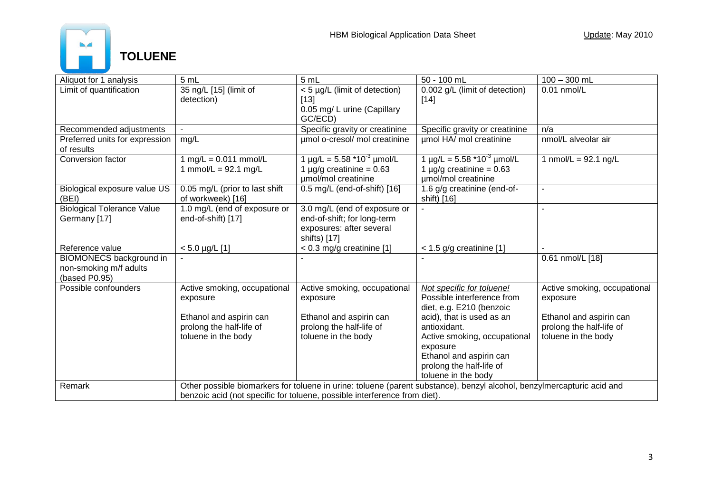

| Aliquot for 1 analysis                                                    | 5 mL                                                                                                                                                                                                | 5 mL                                                                                                    | 50 - 100 mL                                                                                                                                                         | $100 - 300$ mL                                                             |
|---------------------------------------------------------------------------|-----------------------------------------------------------------------------------------------------------------------------------------------------------------------------------------------------|---------------------------------------------------------------------------------------------------------|---------------------------------------------------------------------------------------------------------------------------------------------------------------------|----------------------------------------------------------------------------|
| Limit of quantification                                                   | 35 ng/L [15] (limit of<br>detection)                                                                                                                                                                | < 5 µg/L (limit of detection)<br>$[13]$<br>0.05 mg/ L urine (Capillary<br>GC/ECD)                       | 0.002 g/L (limit of detection)<br>$[14]$                                                                                                                            | $0.01$ nmol/L                                                              |
| Recommended adjustments                                                   |                                                                                                                                                                                                     | Specific gravity or creatinine                                                                          | Specific gravity or creatinine                                                                                                                                      | n/a                                                                        |
| Preferred units for expression<br>of results                              | mg/L                                                                                                                                                                                                | umol o-cresol/ mol creatinine                                                                           | umol HA/ mol creatinine                                                                                                                                             | nmol/L alveolar air                                                        |
| Conversion factor                                                         | 1 mg/L = $0.011$ mmol/L<br>1 mmol/L = $92.1$ mg/L                                                                                                                                                   | 1 $\mu$ g/L = 5.58 $*10^{-3}$ $\mu$ mol/L<br>1 $\mu$ g/g creatinine = 0.63<br>umol/mol creatinine       | 1 $\mu$ g/L = 5.58 *10 <sup>-3</sup> $\mu$ mol/L<br>1 $\mu$ g/g creatinine = 0.63<br>umol/mol creatinine                                                            | 1 nmol/L = $92.1$ ng/L                                                     |
| Biological exposure value US<br>(BEI)                                     | 0.05 mg/L (prior to last shift<br>of workweek) [16]                                                                                                                                                 | 0.5 mg/L (end-of-shift) [16]                                                                            | 1.6 g/g creatinine (end-of-<br>shift) [16]                                                                                                                          |                                                                            |
| <b>Biological Tolerance Value</b><br>Germany [17]                         | 1.0 mg/L (end of exposure or<br>end-of-shift) [17]                                                                                                                                                  | 3.0 mg/L (end of exposure or<br>end-of-shift; for long-term<br>exposures: after several<br>shifts) [17] |                                                                                                                                                                     |                                                                            |
| Reference value                                                           | $< 5.0$ µg/L [1]                                                                                                                                                                                    | $< 0.3$ mg/g creatinine [1]                                                                             | $<$ 1.5 g/g creatinine [1]                                                                                                                                          |                                                                            |
| <b>BIOMONECS background in</b><br>non-smoking m/f adults<br>(based P0.95) |                                                                                                                                                                                                     |                                                                                                         |                                                                                                                                                                     | 0.61 nmol/L [18]                                                           |
| Possible confounders                                                      | Active smoking, occupational<br>exposure                                                                                                                                                            | Active smoking, occupational<br>exposure                                                                | Not specific for toluene!<br>Possible interference from<br>diet, e.g. E210 (benzoic                                                                                 | Active smoking, occupational<br>exposure                                   |
|                                                                           | Ethanol and aspirin can<br>prolong the half-life of<br>toluene in the body                                                                                                                          | Ethanol and aspirin can<br>prolong the half-life of<br>toluene in the body                              | acid), that is used as an<br>antioxidant.<br>Active smoking, occupational<br>exposure<br>Ethanol and aspirin can<br>prolong the half-life of<br>toluene in the body | Ethanol and aspirin can<br>prolong the half-life of<br>toluene in the body |
| Remark                                                                    | Other possible biomarkers for toluene in urine: toluene (parent substance), benzyl alcohol, benzylmercapturic acid and<br>benzoic acid (not specific for toluene, possible interference from diet). |                                                                                                         |                                                                                                                                                                     |                                                                            |